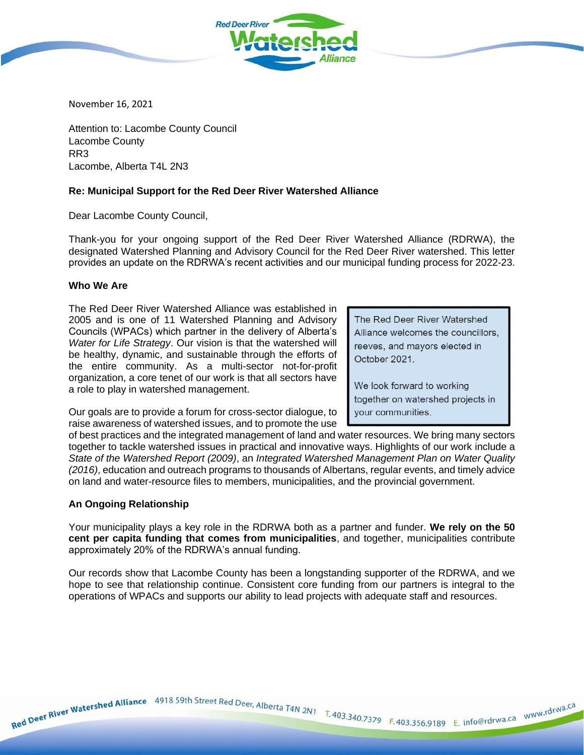

November 16, 2021

Attention to: Lacombe County Council Lacombe County RR3 Lacombe, Alberta T4L 2N3

## **Re: Municipal Support for the Red Deer River Watershed Alliance**

Dear Lacombe County Council,

Thank-you for your ongoing support of the Red Deer River Watershed Alliance (RDRWA), the designated Watershed Planning and Advisory Council for the Red Deer River watershed. This letter provides an update on the RDRWA's recent activities and our municipal funding process for 2022-23.

### **Who We Are**

The Red Deer River Watershed Alliance was established in 2005 and is one of 11 Watershed Planning and Advisory Councils (WPACs) which partner in the delivery of Alberta's *Water for Life Strategy*. Our vision is that the watershed will be healthy, dynamic, and sustainable through the efforts of the entire community. As a multi-sector not-for-profit organization, a core tenet of our work is that all sectors have a role to play in watershed management.

The Red Deer River Watershed Alliance welcomes the councillors. reeves, and mayors elected in October 2021.

We look forward to working together on watershed projects in your communities.

Our goals are to provide a forum for cross-sector dialogue, to raise awareness of watershed issues, and to promote the use

of best practices and the integrated management of land and water resources. We bring many sectors together to tackle watershed issues in practical and innovative ways. Highlights of our work include a *State of the Watershed Report (2009)*, an *Integrated Watershed Management Plan on Water Quality (2016)*, education and outreach programs to thousands of Albertans, regular events, and timely advice on land and water-resource files to members, municipalities, and the provincial government.

#### **An Ongoing Relationship**

Your municipality plays a key role in the RDRWA both as a partner and funder. **We rely on the 50 cent per capita funding that comes from municipalities**, and together, municipalities contribute approximately 20% of the RDRWA's annual funding.

Our records show that Lacombe County has been a longstanding supporter of the RDRWA, and we hope to see that relationship continue. Consistent core funding from our partners is integral to the operations of WPACs and supports our ability to lead projects with adequate staff and resources.